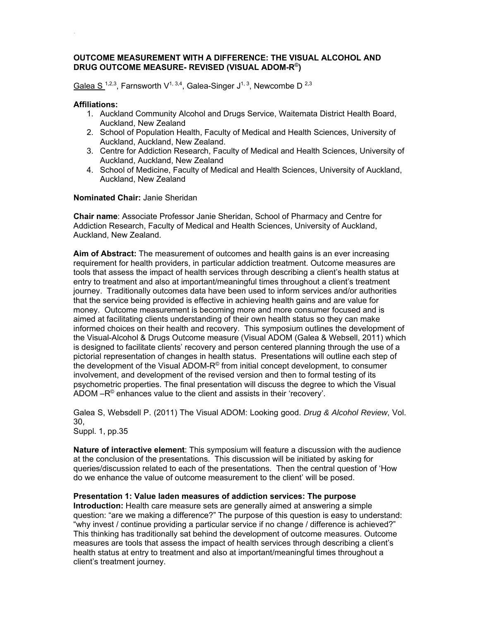## **OUTCOME MEASUREMENT WITH A DIFFERENCE: THE VISUAL ALCOHOL AND DRUG OUTCOME MEASURE- REVISED (VISUAL ADOM-R©)**

Galea S<sup>1,2,3</sup>, Farnsworth V<sup>1, 3,4</sup>, Galea-Singer J<sup>1, 3</sup>, Newcombe D<sup>2,3</sup>

### **Affiliations:**

.

- 1. Auckland Community Alcohol and Drugs Service, Waitemata District Health Board, Auckland, New Zealand
- 2. School of Population Health, Faculty of Medical and Health Sciences, University of Auckland, Auckland, New Zealand.
- 3. Centre for Addiction Research, Faculty of Medical and Health Sciences, University of Auckland, Auckland, New Zealand
- 4. School of Medicine, Faculty of Medical and Health Sciences, University of Auckland, Auckland, New Zealand

#### **Nominated Chair:** Janie Sheridan

**Chair name**: Associate Professor Janie Sheridan, School of Pharmacy and Centre for Addiction Research, Faculty of Medical and Health Sciences, University of Auckland, Auckland, New Zealand.

**Aim of Abstract:** The measurement of outcomes and health gains is an ever increasing requirement for health providers, in particular addiction treatment. Outcome measures are tools that assess the impact of health services through describing a client's health status at entry to treatment and also at important/meaningful times throughout a client's treatment journey. Traditionally outcomes data have been used to inform services and/or authorities that the service being provided is effective in achieving health gains and are value for money. Outcome measurement is becoming more and more consumer focused and is aimed at facilitating clients understanding of their own health status so they can make informed choices on their health and recovery. This symposium outlines the development of the Visual-Alcohol & Drugs Outcome measure (Visual ADOM (Galea & Websell, 2011) which is designed to facilitate clients' recovery and person centered planning through the use of a pictorial representation of changes in health status. Presentations will outline each step of the development of the Visual ADOM- $R^{\odot}$  from initial concept development, to consumer involvement, and development of the revised version and then to formal testing of its psychometric properties. The final presentation will discuss the degree to which the Visual ADOM –R© enhances value to the client and assists in their 'recovery'.

Galea S, Websdell P. (2011) The Visual ADOM: Looking good. *Drug & Alcohol Review*, Vol. 30, Suppl. 1, pp.35

**Nature of interactive element**: This symposium will feature a discussion with the audience at the conclusion of the presentations. This discussion will be initiated by asking for queries/discussion related to each of the presentations. Then the central question of 'How do we enhance the value of outcome measurement to the client' will be posed.

**Presentation 1: Value laden measures of addiction services: The purpose Introduction:** Health care measure sets are generally aimed at answering a simple question: "are we making a difference?" The purpose of this question is easy to understand: "why invest / continue providing a particular service if no change / difference is achieved?" This thinking has traditionally sat behind the development of outcome measures. Outcome measures are tools that assess the impact of health services through describing a client's health status at entry to treatment and also at important/meaningful times throughout a client's treatment journey.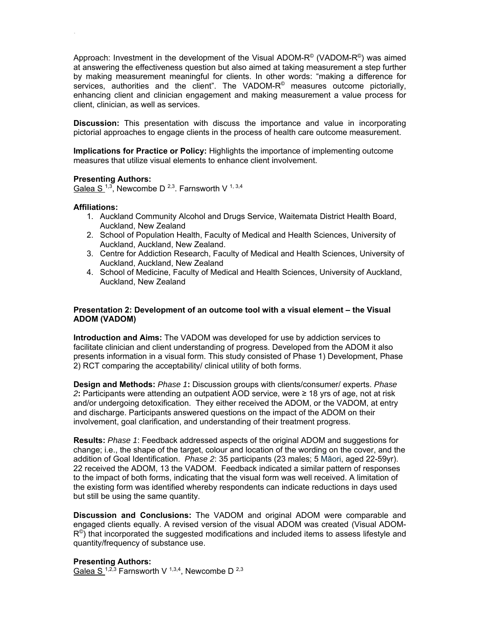Approach: Investment in the development of the Visual ADOM- $R^{\circ}$  (VADOM- $R^{\circ}$ ) was aimed at answering the effectiveness question but also aimed at taking measurement a step further by making measurement meaningful for clients. In other words: "making a difference for services, authorities and the client". The VADOM- $R^{\circ}$  measures outcome pictorially, enhancing client and clinician engagement and making measurement a value process for client, clinician, as well as services.

**Discussion:** This presentation with discuss the importance and value in incorporating pictorial approaches to engage clients in the process of health care outcome measurement.

**Implications for Practice or Policy:** Highlights the importance of implementing outcome measures that utilize visual elements to enhance client involvement.

## **Presenting Authors:**

Galea S<sup>1,3</sup>, Newcombe D<sup>2,3</sup>. Farnsworth V<sup>1,3,4</sup>

## **Affiliations:**

.

- 1. Auckland Community Alcohol and Drugs Service, Waitemata District Health Board, Auckland, New Zealand
- 2. School of Population Health, Faculty of Medical and Health Sciences, University of Auckland, Auckland, New Zealand.
- 3. Centre for Addiction Research, Faculty of Medical and Health Sciences, University of Auckland, Auckland, New Zealand
- 4. School of Medicine, Faculty of Medical and Health Sciences, University of Auckland, Auckland, New Zealand

## **Presentation 2: Development of an outcome tool with a visual element – the Visual ADOM (VADOM)**

**Introduction and Aims:** The VADOM was developed for use by addiction services to facilitate clinician and client understanding of progress. Developed from the ADOM it also presents information in a visual form. This study consisted of Phase 1) Development, Phase 2) RCT comparing the acceptability/ clinical utility of both forms.

**Design and Methods:** *Phase 1***:** Discussion groups with clients/consumer/ experts. *Phase*  2**<sup>2</sup>:** Participants were attending an outpatient AOD service, were ≥ 18 yrs of age, not at risk and/or undergoing detoxification. They either received the ADOM, or the VADOM, at entry and discharge. Participants answered questions on the impact of the ADOM on their involvement, goal clarification, and understanding of their treatment progress.

**Results:** *Phase 1*: Feedback addressed aspects of the original ADOM and suggestions for change; i.e., the shape of the target, colour and location of the wording on the cover, and the addition of Goal Identification. *Phase 2*: 35 participants (23 males; 5 Māori, aged 22-59yr). 22 received the ADOM, 13 the VADOM. Feedback indicated a similar pattern of responses to the impact of both forms, indicating that the visual form was well received. A limitation of the existing form was identified whereby respondents can indicate reductions in days used but still be using the same quantity.

**Discussion and Conclusions:** The VADOM and original ADOM were comparable and engaged clients equally. A revised version of the visual ADOM was created (Visual ADOM- $R^{\circ}$ ) that incorporated the suggested modifications and included items to assess lifestyle and quantity/frequency of substance use.

### **Presenting Authors:**

Galea S<sup>1,2,3</sup> Farnsworth V<sup>1,3,4</sup>, Newcombe D<sup>2,3</sup>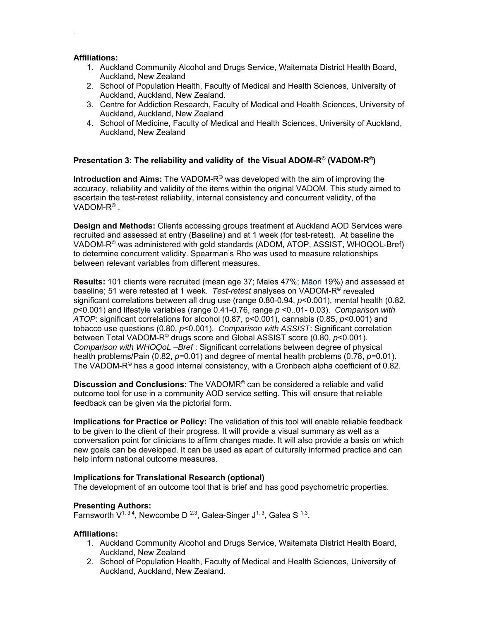## **Affiliations:**

.

- 1. Auckland Community Alcohol and Drugs Service, Waitemata District Health Board, Auckland, New Zealand
- 2. School of Population Health, Faculty of Medical and Health Sciences, University of Auckland, Auckland, New Zealand.
- 3. Centre for Addiction Research, Faculty of Medical and Health Sciences, University of Auckland, Auckland, New Zealand
- 4. School of Medicine, Faculty of Medical and Health Sciences, University of Auckland, Auckland, New Zealand

# **Presentation 3: The reliability and validity of the Visual ADOM-R© (VADOM-R©)**

**Introduction and Aims:** The VADOM-R© was developed with the aim of improving the accuracy, reliability and validity of the items within the original VADOM. This study aimed to ascertain the test-retest reliability, internal consistency and concurrent validity, of the VADOM- $R^{\circ}$ .

**Design and Methods:** Clients accessing groups treatment at Auckland AOD Services were recruited and assessed at entry (Baseline) and at 1 week (for test-retest). At baseline the VADOM-R© was administered with gold standards (ADOM, ATOP, ASSIST, WHOQOL-Bref) to determine concurrent validity. Spearman's Rho was used to measure relationships between relevant variables from different measures.

**Results:** 101 clients were recruited (mean age 37; Males 47%; Māori 19%) and assessed at baseline; 51 were retested at 1 week. *Test-retest* analyses on VADOM-R© revealed significant correlations between all drug use (range 0.80-0.94, *p*<0.001), mental health (0.82, *p*<0.001) and lifestyle variables (range 0.41-0.76, range *p* <0..01- 0.03). *Comparison with ATOP*: significant correlations for alcohol (0.87, p<0.001), cannabis (0.85, *p*<0.001) and tobacco use questions (0.80, *p*<0.001). *Comparison with ASSIST*: Significant correlation between Total VADOM-R© drugs score and Global ASSIST score (0.80, *p*<0.001). *Comparison with WHOQoL –Bref* : Significant correlations between degree of physical health problems/Pain (0.82, *p*=0.01) and degree of mental health problems (0.78, *p*=0.01). The VADOM- $R^{\circ}$  has a good internal consistency, with a Cronbach alpha coefficient of 0.82.

**Discussion and Conclusions:** The VADOMR© can be considered a reliable and valid outcome tool for use in a community AOD service setting. This will ensure that reliable feedback can be given via the pictorial form.

**Implications for Practice or Policy:** The validation of this tool will enable reliable feedback to be given to the client of their progress. It will provide a visual summary as well as a conversation point for clinicians to affirm changes made. It will also provide a basis on which new goals can be developed. It can be used as apart of culturally informed practice and can help inform national outcome measures.

# **Implications for Translational Research (optional)**

The development of an outcome tool that is brief and has good psychometric properties.

# **Presenting Authors:**

Farnsworth  $V^{1,3,4}$ , Newcombe D<sup>2.3</sup>, Galea-Singer  $J^{1,3}$ , Galea S<sup>1,3</sup>.

### **Affiliations:**

- 1. Auckland Community Alcohol and Drugs Service, Waitemata District Health Board, Auckland, New Zealand
- 2. School of Population Health, Faculty of Medical and Health Sciences, University of Auckland, Auckland, New Zealand.